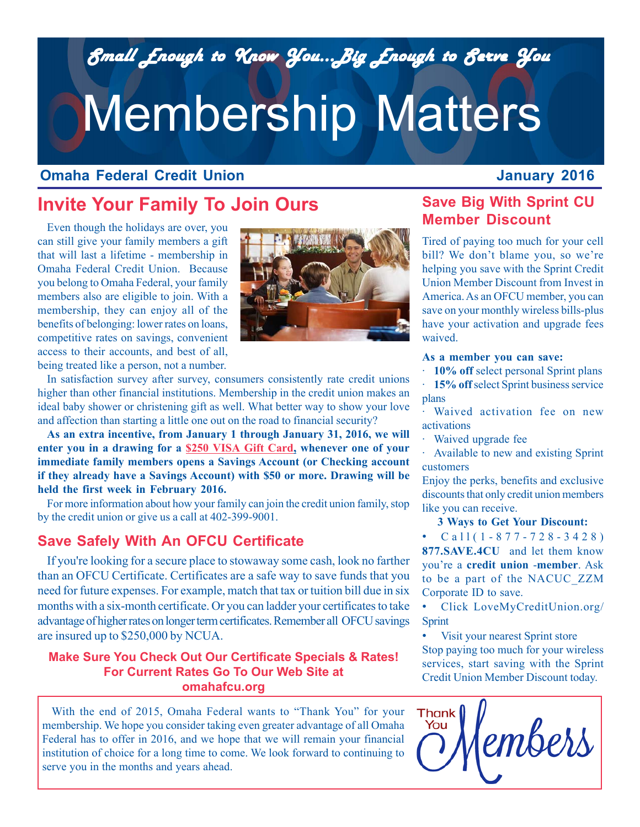*Small Enough to Know You...Big Enough to Serve You Small Enough to Know You...Big Enough to Serve You*

# Membership Matters

## **Omaha Federal Credit Union**

## **January 2016**

# **Invite Your Family To Join Ours**

Even though the holidays are over, you can still give your family members a gift that will last a lifetime - membership in Omaha Federal Credit Union. Because you belong to Omaha Federal, your family members also are eligible to join. With a membership, they can enjoy all of the benefits of belonging: lower rates on loans, competitive rates on savings, convenient access to their accounts, and best of all, being treated like a person, not a number.



In satisfaction survey after survey, consumers consistently rate credit unions higher than other financial institutions. Membership in the credit union makes an ideal baby shower or christening gift as well. What better way to show your love and affection than starting a little one out on the road to financial security?

**As an extra incentive, from January 1 through January 31, 2016, we will enter you in a drawing for a \$250 VISA Gift Card, whenever one of your immediate family members opens a Savings Account (or Checking account if they already have a Savings Account) with \$50 or more. Drawing will be held the first week in February 2016.**

For more information about how your family can join the credit union family, stop by the credit union or give us a call at 402-399-9001.

## **Save Safely With An OFCU Certificate**

If you're looking for a secure place to stowaway some cash, look no farther than an OFCU Certificate. Certificates are a safe way to save funds that you need for future expenses. For example, match that tax or tuition bill due in six months with a six-month certificate. Or you can ladder your certificates to take advantage of higher rates on longer term certificates. Remember all OFCU savings are insured up to \$250,000 by NCUA.

## **Make Sure You Check Out Our Certificate Specials & Rates!** *Way...VISA Gift Cards!* **For Current Rates Go To Our Web Site at omahafcu.org**

With the end of 2015, Omaha Federal wants to "Thank You" for your membership. We hope you consider taking even greater advantage of all Omaha Federal has to offer in 2016, and we hope that we will remain your financial institution of choice for a long time to come. We look forward to continuing to serve you in the months and years ahead.

# **Save Big With Sprint CU Member Discount**

Tired of paying too much for your cell bill? We don't blame you, so we're helping you save with the Sprint Credit Union Member Discount from Invest in America. As an OFCU member, you can save on your monthly wireless bills-plus have your activation and upgrade fees waived.

#### **As a member you can save:**

· **10% off** select personal Sprint plans

15% off select Sprint business service plans

Waived activation fee on new activations

Waived upgrade fee

Available to new and existing Sprint customers

Enjoy the perks, benefits and exclusive discounts that only credit union members like you can receive.

#### **3 Ways to Get Your Discount:**

•  $Cal1(1-877-728-3428)$ **877.SAVE.4CU** and let them know you're a **credit union** -**member**. Ask to be a part of the NACUC\_ZZM Corporate ID to save.

• Click LoveMyCreditUnion.org/ Sprint

Visit your nearest Sprint store Stop paying too much for your wireless services, start saving with the Sprint Credit Union Member Discount today.